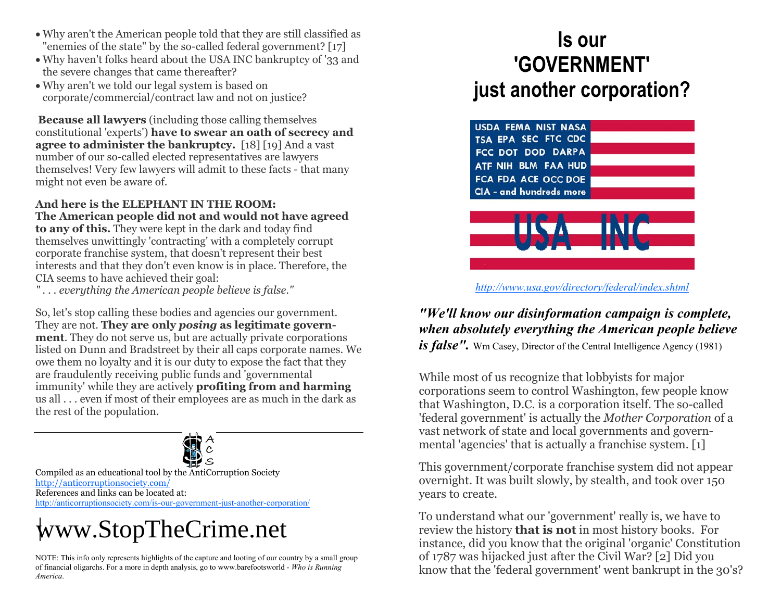- Why aren't the American people told that they are still classified as "enemies of the state" by the so-called federal government? [17]
- Why haven't folks heard about the USA INC bankruptcy of '33 and the severe changes that came thereafter?
- Why aren't we told our legal system is based on corporate/commercial/contract law and not on justice?

**Because all lawyers** (including those calling themselves constitutional 'experts') **have to swear an oath of secrecy and agree to administer the bankruptcy.** [18] [19] And a vast number of our so-called elected representatives are lawyers themselves! Very few lawyers will admit to these facts - that many might not even be aware of.

**And here is the ELEPHANT IN THE ROOM: The American people did not and would not have agreed to any of this.** They were kept in the dark and today find themselves unwittingly 'contracting' with a completely corrupt corporate franchise system, that doesn't represent their best interests and that they don't even know is in place. Therefore, the CIA seems to have achieved their goal:

*" . . . everything the American people believe is false."* 

So, let's stop calling these bodies and agencies our government. They are not. **They are only** *posing* **as legitimate government**. They do not serve us, but are actually private corporations listed on Dunn and Bradstreet by their all caps corporate names. We owe them no loyalty and it is our duty to expose the fact that they are fraudulently receiving public funds and 'governmental immunity' while they are actively **profiting from and harming**  us all . . . even if most of their employees are as much in the dark as the rest of the population.



Compiled as an educational tool by the AntiCorruption Society http://anticorruptionsociety.com/ References and links can be located at: http://anticorruptionsociety.com/is-our-government-just-another-corporation/

## [www.StopTheCrime.net](http://www.stopthecrime.net)

NOTE: This info only represents highlights of the capture and looting of our country by a small group of financial oligarchs. For a more in depth analysis, go to www.barefootsworld - *Who is Running America*.

## **Is our 'GOVERNMENT' just another corporation?**





*http://www.usa.gov/directory/federal/index.shtml*

## *"We'll know our disinformation campaign is complete, when absolutely everything the American people believe*

*is false"*. Wm Casey, Director of the Central Intelligence Agency (1981)

While most of us recognize that lobbyists for major corporations seem to control Washington, few people know that Washington, D.C. is a corporation itself. The so-called 'federal government' is actually the *Mother Corporation* of a vast network of state and local governments and governmental 'agencies' that is actually a franchise system. [1]

This government/corporate franchise system did not appear overnight. It was built slowly, by stealth, and took over 150 years to create.

To understand what our 'government' really is, we have to review the history **that is not** in most history books. For instance, did you know that the original 'organic' Constitution of 1787 was hijacked just after the Civil War? [2] Did you know that the 'federal government' went bankrupt in the 30's?